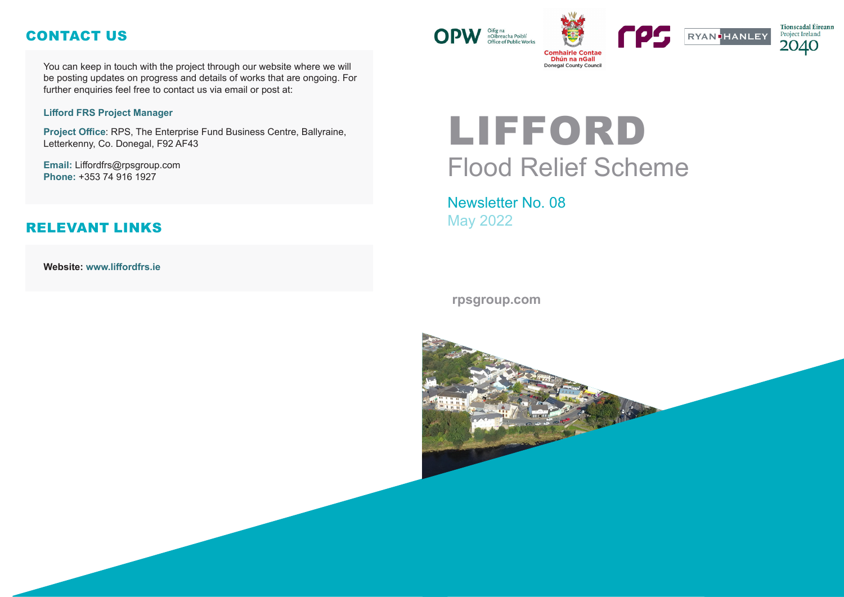# LIFFORD Flood Relief Scheme

Newsletter No. 08 May 2022

#### **rpsgroup.com**







You can keep in touch with the project through our website where we will be posting updates on progress and details of works that are ongoing. For further enquiries feel free to contact us via email or post at:

#### **Lifford FRS Project Manager**

**Project Office**: RPS, The Enterprise Fund Business Centre, Ballyraine, Letterkenny, Co. Donegal, F92 AF43

**Email:** Liffordfrs@rpsgroup.com **Phone:** +353 74 916 1927

**Website: www.liffordfrs.ie** 



## CONTACT US

### RELEVANT LINKS